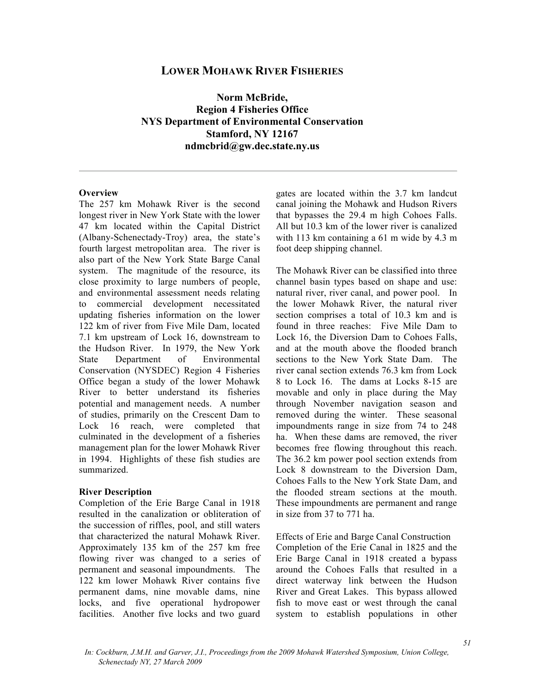# **LOWER MOHAWK RIVER FISHERIES**

**Norm McBride, Region 4 Fisheries Office NYS Department of Environmental Conservation Stamford, NY 12167 ndmcbrid@gw.dec.state.ny.us** 

#### **Overview**

The 257 km Mohawk River is the second longest river in New York State with the lower 47 km located within the Capital District (Albany-Schenectady-Troy) area, the state's fourth largest metropolitan area. The river is also part of the New York State Barge Canal system. The magnitude of the resource, its close proximity to large numbers of people, and environmental assessment needs relating to commercial development necessitated updating fisheries information on the lower 122 km of river from Five Mile Dam, located 7.1 km upstream of Lock 16, downstream to the Hudson River. In 1979, the New York State Department of Environmental Conservation (NYSDEC) Region 4 Fisheries Office began a study of the lower Mohawk River to better understand its fisheries potential and management needs. A number of studies, primarily on the Crescent Dam to Lock 16 reach, were completed that culminated in the development of a fisheries management plan for the lower Mohawk River in 1994. Highlights of these fish studies are summarized.

#### **River Description**

Completion of the Erie Barge Canal in 1918 resulted in the canalization or obliteration of the succession of riffles, pool, and still waters that characterized the natural Mohawk River. Approximately 135 km of the 257 km free flowing river was changed to a series of permanent and seasonal impoundments. The 122 km lower Mohawk River contains five permanent dams, nine movable dams, nine locks, and five operational hydropower facilities. Another five locks and two guard

gates are located within the 3.7 km landcut canal joining the Mohawk and Hudson Rivers that bypasses the 29.4 m high Cohoes Falls. All but 10.3 km of the lower river is canalized with 113 km containing a 61 m wide by 4.3 m foot deep shipping channel.

The Mohawk River can be classified into three channel basin types based on shape and use: natural river, river canal, and power pool. In the lower Mohawk River, the natural river section comprises a total of 10.3 km and is found in three reaches: Five Mile Dam to Lock 16, the Diversion Dam to Cohoes Falls, and at the mouth above the flooded branch sections to the New York State Dam. The river canal section extends 76.3 km from Lock 8 to Lock 16. The dams at Locks 8-15 are movable and only in place during the May through November navigation season and removed during the winter. These seasonal impoundments range in size from 74 to 248 ha. When these dams are removed, the river becomes free flowing throughout this reach. The 36.2 km power pool section extends from Lock 8 downstream to the Diversion Dam, Cohoes Falls to the New York State Dam, and the flooded stream sections at the mouth. These impoundments are permanent and range in size from 37 to 771 ha.

Effects of Erie and Barge Canal Construction Completion of the Erie Canal in 1825 and the Erie Barge Canal in 1918 created a bypass around the Cohoes Falls that resulted in a direct waterway link between the Hudson River and Great Lakes. This bypass allowed fish to move east or west through the canal system to establish populations in other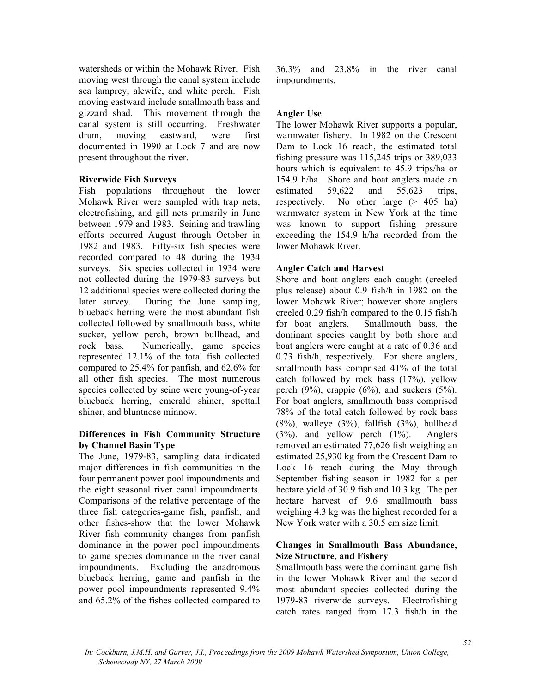watersheds or within the Mohawk River. Fish moving west through the canal system include sea lamprey, alewife, and white perch. Fish moving eastward include smallmouth bass and gizzard shad. This movement through the canal system is still occurring. Freshwater drum, moving eastward, were first documented in 1990 at Lock 7 and are now present throughout the river.

#### **Riverwide Fish Surveys**

Fish populations throughout the lower Mohawk River were sampled with trap nets, electrofishing, and gill nets primarily in June between 1979 and 1983. Seining and trawling efforts occurred August through October in 1982 and 1983. Fifty-six fish species were recorded compared to 48 during the 1934 surveys. Six species collected in 1934 were not collected during the 1979-83 surveys but 12 additional species were collected during the later survey. During the June sampling, blueback herring were the most abundant fish collected followed by smallmouth bass, white sucker, yellow perch, brown bullhead, and rock bass. Numerically, game species represented 12.1% of the total fish collected compared to 25.4% for panfish, and 62.6% for all other fish species. The most numerous species collected by seine were young-of-year blueback herring, emerald shiner, spottail shiner, and bluntnose minnow.

## **Differences in Fish Community Structure by Channel Basin Type**

The June, 1979-83, sampling data indicated major differences in fish communities in the four permanent power pool impoundments and the eight seasonal river canal impoundments. Comparisons of the relative percentage of the three fish categories-game fish, panfish, and other fishes-show that the lower Mohawk River fish community changes from panfish dominance in the power pool impoundments to game species dominance in the river canal impoundments. Excluding the anadromous blueback herring, game and panfish in the power pool impoundments represented 9.4% and 65.2% of the fishes collected compared to

36.3% and 23.8% in the river canal impoundments.

#### **Angler Use**

The lower Mohawk River supports a popular, warmwater fishery. In 1982 on the Crescent Dam to Lock 16 reach, the estimated total fishing pressure was 115,245 trips or 389,033 hours which is equivalent to 45.9 trips/ha or 154.9 h/ha. Shore and boat anglers made an estimated 59,622 and 55,623 trips, respectively. No other large (> 405 ha) warmwater system in New York at the time was known to support fishing pressure exceeding the 154.9 h/ha recorded from the lower Mohawk River.

## **Angler Catch and Harvest**

Shore and boat anglers each caught (creeled plus release) about 0.9 fish/h in 1982 on the lower Mohawk River; however shore anglers creeled 0.29 fish/h compared to the 0.15 fish/h for boat anglers. Smallmouth bass, the dominant species caught by both shore and boat anglers were caught at a rate of 0.36 and 0.73 fish/h, respectively. For shore anglers, smallmouth bass comprised 41% of the total catch followed by rock bass (17%), yellow perch  $(9\%)$ , crappie  $(6\%)$ , and suckers  $(5\%)$ . For boat anglers, smallmouth bass comprised 78% of the total catch followed by rock bass  $(8\%)$ , walleye  $(3\%)$ , fallfish  $(3\%)$ , bullhead (3%), and yellow perch (1%). Anglers removed an estimated 77,626 fish weighing an estimated 25,930 kg from the Crescent Dam to Lock 16 reach during the May through September fishing season in 1982 for a per hectare yield of 30.9 fish and 10.3 kg. The per hectare harvest of 9.6 smallmouth bass weighing 4.3 kg was the highest recorded for a New York water with a 30.5 cm size limit.

## **Changes in Smallmouth Bass Abundance, Size Structure, and Fishery**

Smallmouth bass were the dominant game fish in the lower Mohawk River and the second most abundant species collected during the 1979-83 riverwide surveys. Electrofishing catch rates ranged from 17.3 fish/h in the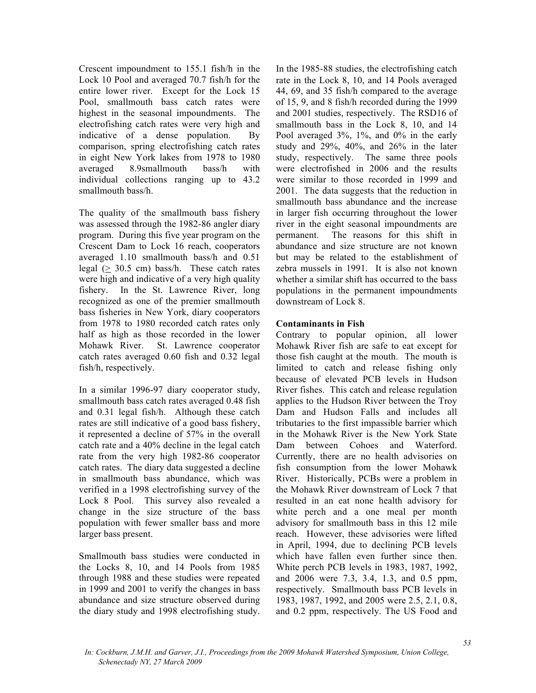Crescent impoundment to 155.1 fish/h in the Lock 10 Pool and averaged 70.7 fish/h for the entire lower river. Except for the Lock 15 Pool, smallmouth bass catch rates were highest in the seasonal impoundments. The electrofishing catch rates were very high and indicative of a dense population. By comparison, spring electrofishing catch rates in eight New York lakes from 1978 to 1980 averaged 8.9smallmouth bass/h with individual collections ranging up to 43.2 smallmouth bass/h.

The quality of the smallmouth bass fishery was assessed through the 1982-86 angler diary program. During this five year program on the Crescent Dam to Lock 16 reach, cooperators averaged 1.10 smallmouth bass/h and 0.51 legal  $(> 30.5 \text{ cm})$  bass/h. These catch rates were high and indicative of a very high quality fishery. In the St. Lawrence River, long recognized as one of the premier smallmouth bass fisheries in New York, diary cooperators from 1978 to 1980 recorded catch rates only half as high as those recorded in the lower Mohawk River. St. Lawrence cooperator catch rates averaged 0.60 fish and 0.32 legal fish/h, respectively.

In a similar 1996-97 diary cooperator study, smallmouth bass catch rates averaged 0.48 fish and 0.31 legal fish/h. Although these catch rates are still indicative of a good bass fishery, it represented a decline of 57% in the overall catch rate and a 40% decline in the legal catch rate from the very high 1982-86 cooperator catch rates. The diary data suggested a decline in smallmouth bass abundance, which was verified in a 1998 electrofishing survey of the Lock 8 Pool. This survey also revealed a change in the size structure of the bass population with fewer smaller bass and more larger bass present.

Smallmouth bass studies were conducted in the Locks 8, 10, and 14 Pools from 1985 through 1988 and these studies were repeated in 1999 and 2001 to verify the changes in bass abundance and size structure observed during the diary study and 1998 electrofishing study.

In the 1985-88 studies, the electrofishing catch rate in the Lock 8, 10, and 14 Pools averaged 44, 69, and 35 fish/h compared to the average of 15, 9, and 8 fish/h recorded during the 1999 and 2001 studies, respectively. The RSD16 of smallmouth bass in the Lock 8, 10, and 14 Pool averaged 3%, 1%, and 0% in the early study and 29%, 40%, and 26% in the later study, respectively. The same three pools were electrofished in 2006 and the results were similar to those recorded in 1999 and 2001. The data suggests that the reduction in smallmouth bass abundance and the increase in larger fish occurring throughout the lower river in the eight seasonal impoundments are permanent. The reasons for this shift in abundance and size structure are not known but may be related to the establishment of zebra mussels in 1991. It is also not known whether a similar shift has occurred to the bass populations in the permanent impoundments downstream of Lock 8.

## **Contaminants in Fish**

Contrary to popular opinion, all lower Mohawk River fish are safe to eat except for those fish caught at the mouth. The mouth is limited to catch and release fishing only because of elevated PCB levels in Hudson River fishes. This catch and release regulation applies to the Hudson River between the Troy Dam and Hudson Falls and includes all tributaries to the first impassible barrier which in the Mohawk River is the New York State Dam between Cohoes and Waterford. Currently, there are no health advisories on fish consumption from the lower Mohawk River. Historically, PCBs were a problem in the Mohawk River downstream of Lock 7 that resulted in an eat none health advisory for white perch and a one meal per month advisory for smallmouth bass in this 12 mile reach. However, these advisories were lifted in April, 1994, due to declining PCB levels which have fallen even further since then. White perch PCB levels in 1983, 1987, 1992, and 2006 were 7.3, 3.4, 1.3, and 0.5 ppm, respectively. Smallmouth bass PCB levels in 1983, 1987, 1992, and 2005 were 2.5, 2.1, 0.8, and 0.2 ppm, respectively. The US Food and